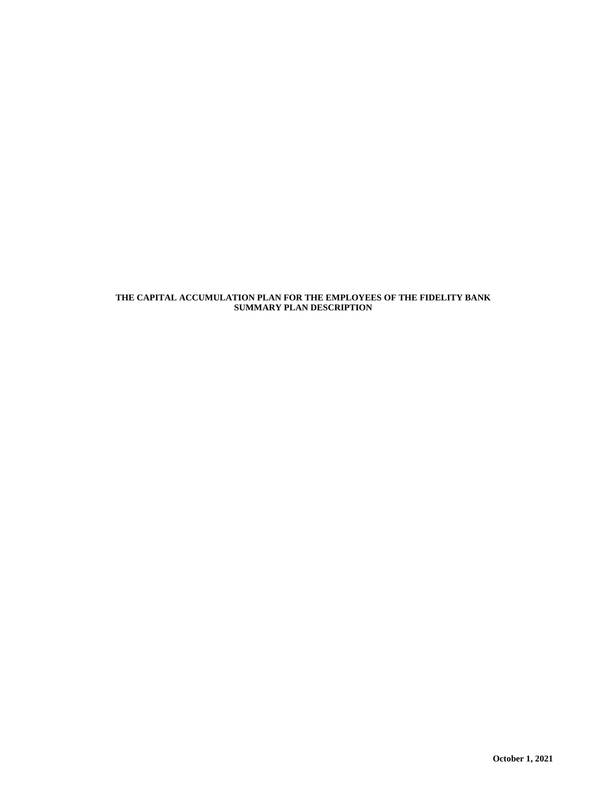# **THE CAPITAL ACCUMULATION PLAN FOR THE EMPLOYEES OF THE FIDELITY BANK SUMMARY PLAN DESCRIPTION**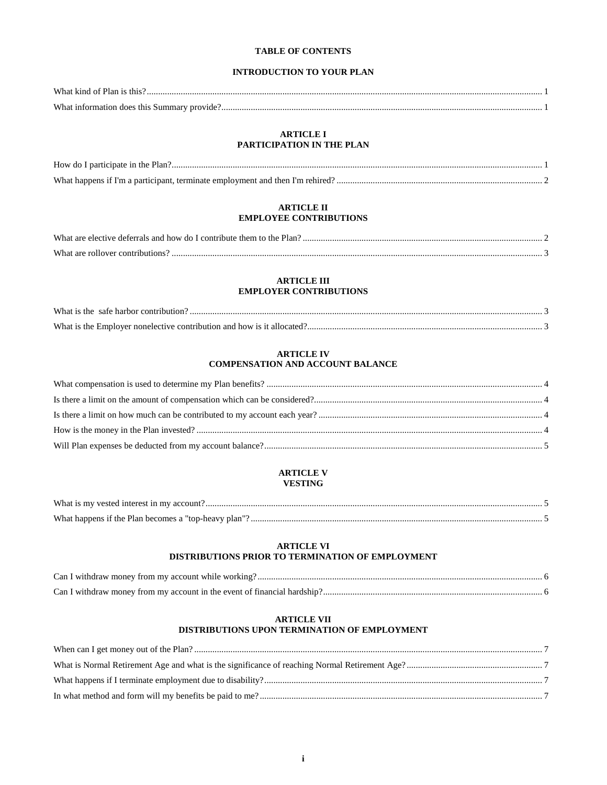## **TABLE OF CONTENTS**

# **INTRODUCTION TO YOUR PLAN**

| What kir         |  |
|------------------|--|
| $W$ ha<br>unmar: |  |

## **ARTICLE I PARTICIPATION IN THE PLAN**

## **ARTICLE II EMPLOYEE CONTRIBUTIONS**

| What are<br>, elective deferrals and how do L contribute them to $t$<br>Plan<br>the. |  |
|--------------------------------------------------------------------------------------|--|
| What are<br>' contributions<br>. ollover                                             |  |

## **ARTICLE III EMPLOYER CONTRIBUTIONS**

| What is the Employer nonelective contribution and how is it allocated? |  |
|------------------------------------------------------------------------|--|

## **ARTICLE IV COMPENSATION AND ACCOUNT BALANCE**

# **ARTICLE V VESTING**

| What is my vested interest in my account?            |  |
|------------------------------------------------------|--|
| What hannens if the Plan becomes a "top-heavy plan"" |  |

# **ARTICLE VI DISTRIBUTIONS PRIOR TO TERMINATION OF EMPLOYMENT**

| Can I withdraw money from my account while working?                      |  |
|--------------------------------------------------------------------------|--|
| Can I withdraw money from my account in the event of financial hardship? |  |

# **ARTICLE VII DISTRIBUTIONS UPON TERMINATION OF EMPLOYMENT**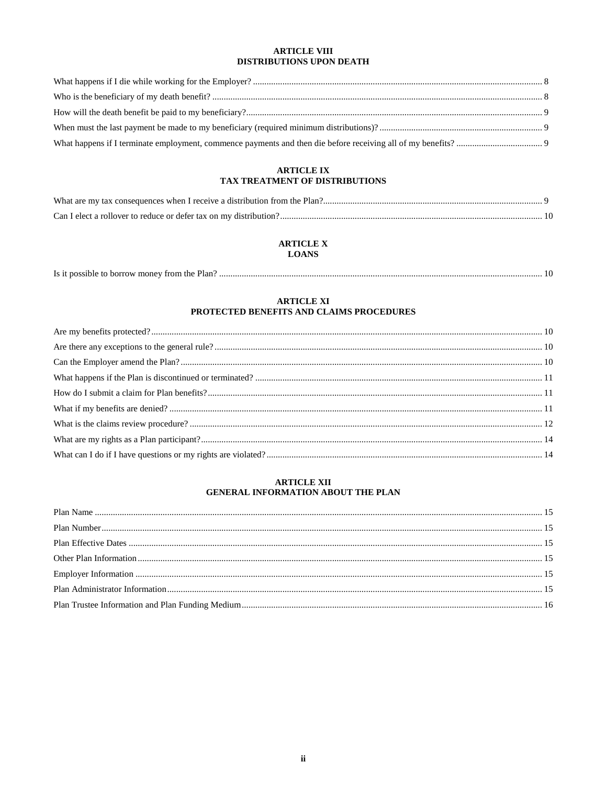## **ARTICLE VIII** DISTRIBUTIONS UPON DEATH

## **ARTICLE IX** TAX TREATMENT OF DISTRIBUTIONS

## **ARTICLE X LOANS**

| Is it possible to borrow money from the Plan? |  |
|-----------------------------------------------|--|
|-----------------------------------------------|--|

# **ARTICLE XI** PROTECTED BENEFITS AND CLAIMS PROCEDURES

# **ARTICLE XII** GENERAL INFORMATION ABOUT THE PLAN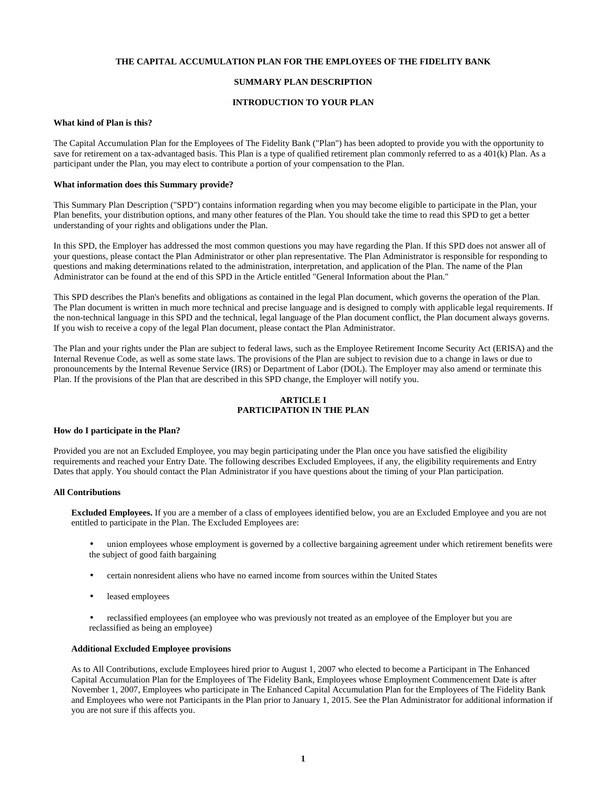## **THE CAPITAL ACCUMULATION PLAN FOR THE EMPLOYEES OF THE FIDELITY BANK**

## **SUMMARY PLAN DESCRIPTION**

## **INTRODUCTION TO YOUR PLAN**

## **What kind of Plan is this?**

The Capital Accumulation Plan for the Employees of The Fidelity Bank ("Plan") has been adopted to provide you with the opportunity to save for retirement on a tax-advantaged basis. This Plan is a type of qualified retirement plan commonly referred to as a 401(k) Plan. As a participant under the Plan, you may elect to contribute a portion of your compensation to the Plan.

## **What information does this Summary provide?**

This Summary Plan Description ("SPD") contains information regarding when you may become eligible to participate in the Plan, your Plan benefits, your distribution options, and many other features of the Plan. You should take the time to read this SPD to get a better understanding of your rights and obligations under the Plan.

In this SPD, the Employer has addressed the most common questions you may have regarding the Plan. If this SPD does not answer all of your questions, please contact the Plan Administrator or other plan representative. The Plan Administrator is responsible for responding to questions and making determinations related to the administration, interpretation, and application of the Plan. The name of the Plan Administrator can be found at the end of this SPD in the Article entitled "General Information about the Plan."

This SPD describes the Plan's benefits and obligations as contained in the legal Plan document, which governs the operation of the Plan. The Plan document is written in much more technical and precise language and is designed to comply with applicable legal requirements. If the non-technical language in this SPD and the technical, legal language of the Plan document conflict, the Plan document always governs. If you wish to receive a copy of the legal Plan document, please contact the Plan Administrator.

The Plan and your rights under the Plan are subject to federal laws, such as the Employee Retirement Income Security Act (ERISA) and the Internal Revenue Code, as well as some state laws. The provisions of the Plan are subject to revision due to a change in laws or due to pronouncements by the Internal Revenue Service (IRS) or Department of Labor (DOL). The Employer may also amend or terminate this Plan. If the provisions of the Plan that are described in this SPD change, the Employer will notify you.

## **ARTICLE I PARTICIPATION IN THE PLAN**

## **How do I participate in the Plan?**

Provided you are not an Excluded Employee, you may begin participating under the Plan once you have satisfied the eligibility requirements and reached your Entry Date. The following describes Excluded Employees, if any, the eligibility requirements and Entry Dates that apply. You should contact the Plan Administrator if you have questions about the timing of your Plan participation.

## **All Contributions**

**Excluded Employees.** If you are a member of a class of employees identified below, you are an Excluded Employee and you are not entitled to participate in the Plan. The Excluded Employees are:

- union employees whose employment is governed by a collective bargaining agreement under which retirement benefits were the subject of good faith bargaining
- certain nonresident aliens who have no earned income from sources within the United States
- leased employees
- reclassified employees (an employee who was previously not treated as an employee of the Employer but you are reclassified as being an employee)

## **Additional Excluded Employee provisions**

As to All Contributions, exclude Employees hired prior to August 1, 2007 who elected to become a Participant in The Enhanced Capital Accumulation Plan for the Employees of The Fidelity Bank, Employees whose Employment Commencement Date is after November 1, 2007, Employees who participate in The Enhanced Capital Accumulation Plan for the Employees of The Fidelity Bank and Employees who were not Participants in the Plan prior to January 1, 2015. See the Plan Administrator for additional information if you are not sure if this affects you.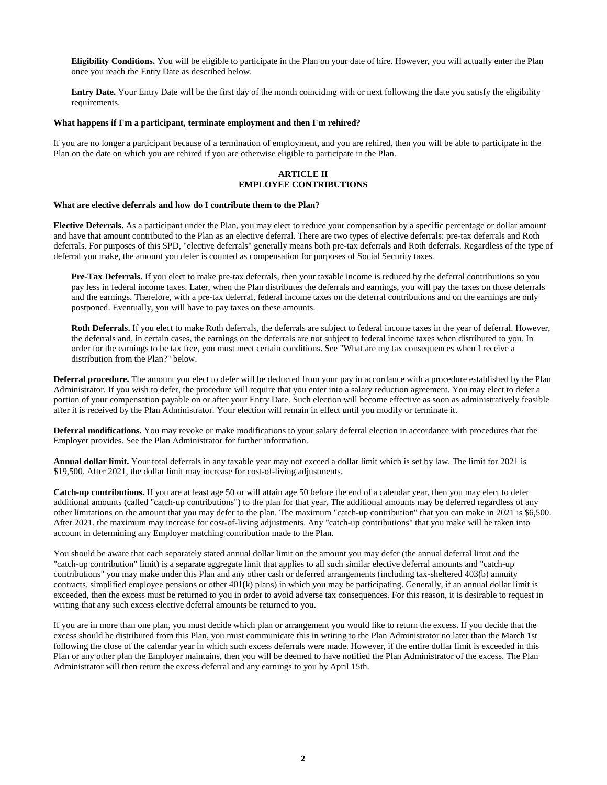**Eligibility Conditions.** You will be eligible to participate in the Plan on your date of hire. However, you will actually enter the Plan once you reach the Entry Date as described below.

**Entry Date.** Your Entry Date will be the first day of the month coinciding with or next following the date you satisfy the eligibility requirements.

### **What happens if I'm a participant, terminate employment and then I'm rehired?**

If you are no longer a participant because of a termination of employment, and you are rehired, then you will be able to participate in the Plan on the date on which you are rehired if you are otherwise eligible to participate in the Plan.

## **ARTICLE II EMPLOYEE CONTRIBUTIONS**

### **What are elective deferrals and how do I contribute them to the Plan?**

**Elective Deferrals.** As a participant under the Plan, you may elect to reduce your compensation by a specific percentage or dollar amount and have that amount contributed to the Plan as an elective deferral. There are two types of elective deferrals: pre-tax deferrals and Roth deferrals. For purposes of this SPD, "elective deferrals" generally means both pre-tax deferrals and Roth deferrals. Regardless of the type of deferral you make, the amount you defer is counted as compensation for purposes of Social Security taxes.

**Pre-Tax Deferrals.** If you elect to make pre-tax deferrals, then your taxable income is reduced by the deferral contributions so you pay less in federal income taxes. Later, when the Plan distributes the deferrals and earnings, you will pay the taxes on those deferrals and the earnings. Therefore, with a pre-tax deferral, federal income taxes on the deferral contributions and on the earnings are only postponed. Eventually, you will have to pay taxes on these amounts.

**Roth Deferrals.** If you elect to make Roth deferrals, the deferrals are subject to federal income taxes in the year of deferral. However, the deferrals and, in certain cases, the earnings on the deferrals are not subject to federal income taxes when distributed to you. In order for the earnings to be tax free, you must meet certain conditions. See "What are my tax consequences when I receive a distribution from the Plan?" below.

**Deferral procedure.** The amount you elect to defer will be deducted from your pay in accordance with a procedure established by the Plan Administrator. If you wish to defer, the procedure will require that you enter into a salary reduction agreement. You may elect to defer a portion of your compensation payable on or after your Entry Date. Such election will become effective as soon as administratively feasible after it is received by the Plan Administrator. Your election will remain in effect until you modify or terminate it.

**Deferral modifications.** You may revoke or make modifications to your salary deferral election in accordance with procedures that the Employer provides. See the Plan Administrator for further information.

**Annual dollar limit.** Your total deferrals in any taxable year may not exceed a dollar limit which is set by law. The limit for 2021 is \$19,500. After 2021, the dollar limit may increase for cost-of-living adjustments.

**Catch-up contributions.** If you are at least age 50 or will attain age 50 before the end of a calendar year, then you may elect to defer additional amounts (called "catch-up contributions") to the plan for that year. The additional amounts may be deferred regardless of any other limitations on the amount that you may defer to the plan. The maximum "catch-up contribution" that you can make in 2021 is \$6,500. After 2021, the maximum may increase for cost-of-living adjustments. Any "catch-up contributions" that you make will be taken into account in determining any Employer matching contribution made to the Plan.

You should be aware that each separately stated annual dollar limit on the amount you may defer (the annual deferral limit and the "catch-up contribution" limit) is a separate aggregate limit that applies to all such similar elective deferral amounts and "catch-up contributions" you may make under this Plan and any other cash or deferred arrangements (including tax-sheltered 403(b) annuity contracts, simplified employee pensions or other 401(k) plans) in which you may be participating. Generally, if an annual dollar limit is exceeded, then the excess must be returned to you in order to avoid adverse tax consequences. For this reason, it is desirable to request in writing that any such excess elective deferral amounts be returned to you.

If you are in more than one plan, you must decide which plan or arrangement you would like to return the excess. If you decide that the excess should be distributed from this Plan, you must communicate this in writing to the Plan Administrator no later than the March 1st following the close of the calendar year in which such excess deferrals were made. However, if the entire dollar limit is exceeded in this Plan or any other plan the Employer maintains, then you will be deemed to have notified the Plan Administrator of the excess. The Plan Administrator will then return the excess deferral and any earnings to you by April 15th.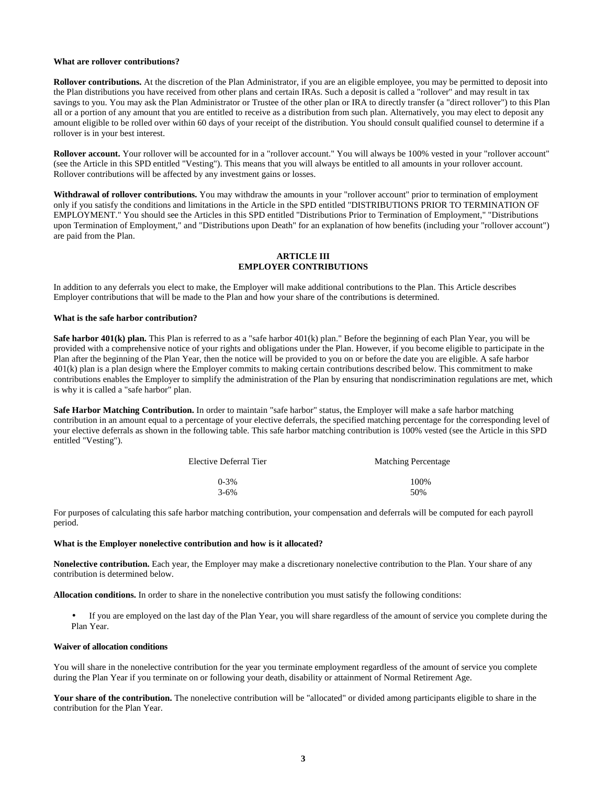#### **What are rollover contributions?**

**Rollover contributions.** At the discretion of the Plan Administrator, if you are an eligible employee, you may be permitted to deposit into the Plan distributions you have received from other plans and certain IRAs. Such a deposit is called a "rollover" and may result in tax savings to you. You may ask the Plan Administrator or Trustee of the other plan or IRA to directly transfer (a "direct rollover") to this Plan all or a portion of any amount that you are entitled to receive as a distribution from such plan. Alternatively, you may elect to deposit any amount eligible to be rolled over within 60 days of your receipt of the distribution. You should consult qualified counsel to determine if a rollover is in your best interest.

Rollover account. Your rollover will be accounted for in a "rollover account." You will always be 100% vested in your "rollover account" (see the Article in this SPD entitled "Vesting"). This means that you will always be entitled to all amounts in your rollover account. Rollover contributions will be affected by any investment gains or losses.

**Withdrawal of rollover contributions.** You may withdraw the amounts in your "rollover account" prior to termination of employment only if you satisfy the conditions and limitations in the Article in the SPD entitled "DISTRIBUTIONS PRIOR TO TERMINATION OF EMPLOYMENT." You should see the Articles in this SPD entitled "Distributions Prior to Termination of Employment," "Distributions upon Termination of Employment," and "Distributions upon Death" for an explanation of how benefits (including your "rollover account") are paid from the Plan.

## **ARTICLE III EMPLOYER CONTRIBUTIONS**

In addition to any deferrals you elect to make, the Employer will make additional contributions to the Plan. This Article describes Employer contributions that will be made to the Plan and how your share of the contributions is determined.

#### **What is the safe harbor contribution?**

**Safe harbor 401(k) plan.** This Plan is referred to as a "safe harbor 401(k) plan." Before the beginning of each Plan Year, you will be provided with a comprehensive notice of your rights and obligations under the Plan. However, if you become eligible to participate in the Plan after the beginning of the Plan Year, then the notice will be provided to you on or before the date you are eligible. A safe harbor 401(k) plan is a plan design where the Employer commits to making certain contributions described below. This commitment to make contributions enables the Employer to simplify the administration of the Plan by ensuring that nondiscrimination regulations are met, which is why it is called a "safe harbor" plan.

**Safe Harbor Matching Contribution.** In order to maintain "safe harbor" status, the Employer will make a safe harbor matching contribution in an amount equal to a percentage of your elective deferrals, the specified matching percentage for the corresponding level of your elective deferrals as shown in the following table. This safe harbor matching contribution is 100% vested (see the Article in this SPD entitled "Vesting").

| Elective Deferral Tier |           | <b>Matching Percentage</b> |  |
|------------------------|-----------|----------------------------|--|
|                        | $0 - 3\%$ | 100%                       |  |
|                        | $3 - 6\%$ | 50%                        |  |

For purposes of calculating this safe harbor matching contribution, your compensation and deferrals will be computed for each payroll period.

#### **What is the Employer nonelective contribution and how is it allocated?**

**Nonelective contribution.** Each year, the Employer may make a discretionary nonelective contribution to the Plan. Your share of any contribution is determined below.

**Allocation conditions.** In order to share in the nonelective contribution you must satisfy the following conditions:

• If you are employed on the last day of the Plan Year, you will share regardless of the amount of service you complete during the Plan Year.

## **Waiver of allocation conditions**

You will share in the nonelective contribution for the year you terminate employment regardless of the amount of service you complete during the Plan Year if you terminate on or following your death, disability or attainment of Normal Retirement Age.

Your share of the contribution. The nonelective contribution will be "allocated" or divided among participants eligible to share in the contribution for the Plan Year.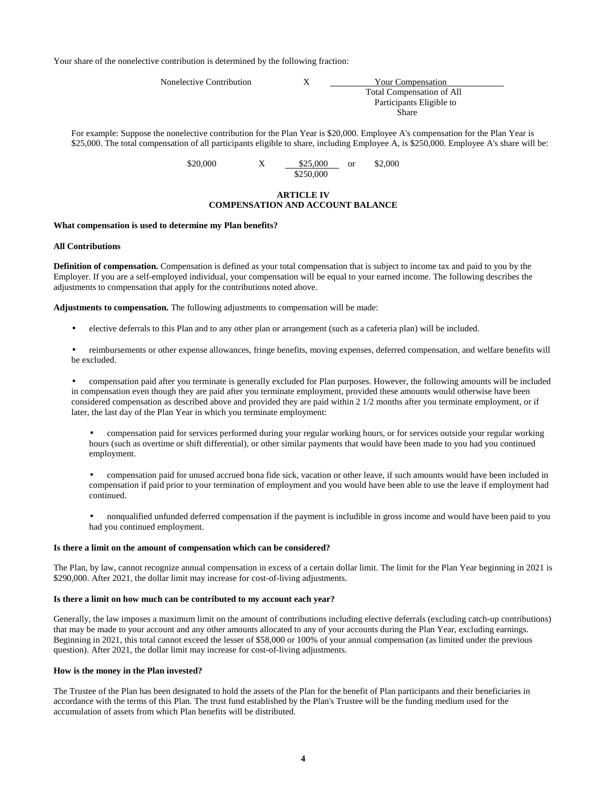Your share of the nonelective contribution is determined by the following fraction:

| Nonelective Contribution | Your Compensation         |  |
|--------------------------|---------------------------|--|
|                          | Total Compensation of All |  |
|                          | Participants Eligible to  |  |
|                          | Share                     |  |

For example: Suppose the nonelective contribution for the Plan Year is \$20,000. Employee A's compensation for the Plan Year is \$25,000. The total compensation of all participants eligible to share, including Employee A, is \$250,000. Employee A's share will be:

 $$20,000$   $X = $25,000$  or \$2,000 \$250,000

## **ARTICLE IV COMPENSATION AND ACCOUNT BALANCE**

### **What compensation is used to determine my Plan benefits?**

## **All Contributions**

**Definition of compensation.** Compensation is defined as your total compensation that is subject to income tax and paid to you by the Employer. If you are a self-employed individual, your compensation will be equal to your earned income. The following describes the adjustments to compensation that apply for the contributions noted above.

**Adjustments to compensation.** The following adjustments to compensation will be made:

• elective deferrals to this Plan and to any other plan or arrangement (such as a cafeteria plan) will be included.

• reimbursements or other expense allowances, fringe benefits, moving expenses, deferred compensation, and welfare benefits will be excluded.

• compensation paid after you terminate is generally excluded for Plan purposes. However, the following amounts will be included in compensation even though they are paid after you terminate employment, provided these amounts would otherwise have been considered compensation as described above and provided they are paid within 2 1/2 months after you terminate employment, or if later, the last day of the Plan Year in which you terminate employment:

- compensation paid for services performed during your regular working hours, or for services outside your regular working hours (such as overtime or shift differential), or other similar payments that would have been made to you had you continued employment.
- compensation paid for unused accrued bona fide sick, vacation or other leave, if such amounts would have been included in compensation if paid prior to your termination of employment and you would have been able to use the leave if employment had continued.
- nonqualified unfunded deferred compensation if the payment is includible in gross income and would have been paid to you had you continued employment.

## **Is there a limit on the amount of compensation which can be considered?**

The Plan, by law, cannot recognize annual compensation in excess of a certain dollar limit. The limit for the Plan Year beginning in 2021 is \$290,000. After 2021, the dollar limit may increase for cost-of-living adjustments.

### **Is there a limit on how much can be contributed to my account each year?**

Generally, the law imposes a maximum limit on the amount of contributions including elective deferrals (excluding catch-up contributions) that may be made to your account and any other amounts allocated to any of your accounts during the Plan Year, excluding earnings. Beginning in 2021, this total cannot exceed the lesser of \$58,000 or 100% of your annual compensation (as limited under the previous question). After 2021, the dollar limit may increase for cost-of-living adjustments.

#### **How is the money in the Plan invested?**

The Trustee of the Plan has been designated to hold the assets of the Plan for the benefit of Plan participants and their beneficiaries in accordance with the terms of this Plan. The trust fund established by the Plan's Trustee will be the funding medium used for the accumulation of assets from which Plan benefits will be distributed.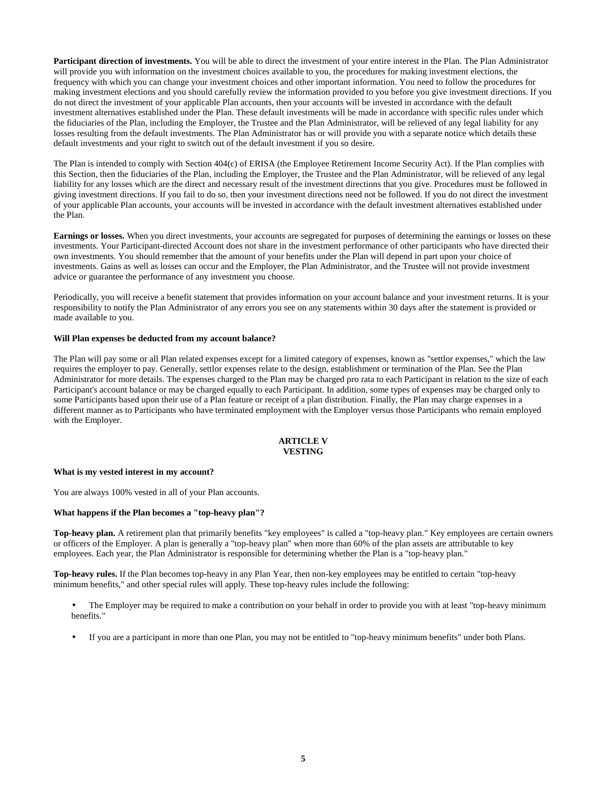**Participant direction of investments.** You will be able to direct the investment of your entire interest in the Plan. The Plan Administrator will provide you with information on the investment choices available to you, the procedures for making investment elections, the frequency with which you can change your investment choices and other important information. You need to follow the procedures for making investment elections and you should carefully review the information provided to you before you give investment directions. If you do not direct the investment of your applicable Plan accounts, then your accounts will be invested in accordance with the default investment alternatives established under the Plan. These default investments will be made in accordance with specific rules under which the fiduciaries of the Plan, including the Employer, the Trustee and the Plan Administrator, will be relieved of any legal liability for any losses resulting from the default investments. The Plan Administrator has or will provide you with a separate notice which details these default investments and your right to switch out of the default investment if you so desire.

The Plan is intended to comply with Section 404(c) of ERISA (the Employee Retirement Income Security Act). If the Plan complies with this Section, then the fiduciaries of the Plan, including the Employer, the Trustee and the Plan Administrator, will be relieved of any legal liability for any losses which are the direct and necessary result of the investment directions that you give. Procedures must be followed in giving investment directions. If you fail to do so, then your investment directions need not be followed. If you do not direct the investment of your applicable Plan accounts, your accounts will be invested in accordance with the default investment alternatives established under the Plan.

**Earnings or losses.** When you direct investments, your accounts are segregated for purposes of determining the earnings or losses on these investments. Your Participant-directed Account does not share in the investment performance of other participants who have directed their own investments. You should remember that the amount of your benefits under the Plan will depend in part upon your choice of investments. Gains as well as losses can occur and the Employer, the Plan Administrator, and the Trustee will not provide investment advice or guarantee the performance of any investment you choose.

Periodically, you will receive a benefit statement that provides information on your account balance and your investment returns. It is your responsibility to notify the Plan Administrator of any errors you see on any statements within 30 days after the statement is provided or made available to you.

## **Will Plan expenses be deducted from my account balance?**

The Plan will pay some or all Plan related expenses except for a limited category of expenses, known as "settlor expenses," which the law requires the employer to pay. Generally, settlor expenses relate to the design, establishment or termination of the Plan. See the Plan Administrator for more details. The expenses charged to the Plan may be charged pro rata to each Participant in relation to the size of each Participant's account balance or may be charged equally to each Participant. In addition, some types of expenses may be charged only to some Participants based upon their use of a Plan feature or receipt of a plan distribution. Finally, the Plan may charge expenses in a different manner as to Participants who have terminated employment with the Employer versus those Participants who remain employed with the Employer.

## **ARTICLE V VESTING**

## **What is my vested interest in my account?**

You are always 100% vested in all of your Plan accounts.

## **What happens if the Plan becomes a "top-heavy plan"?**

**Top-heavy plan.** A retirement plan that primarily benefits "key employees" is called a "top-heavy plan." Key employees are certain owners or officers of the Employer. A plan is generally a "top-heavy plan" when more than 60% of the plan assets are attributable to key employees. Each year, the Plan Administrator is responsible for determining whether the Plan is a "top-heavy plan."

**Top-heavy rules.** If the Plan becomes top-heavy in any Plan Year, then non-key employees may be entitled to certain "top-heavy minimum benefits," and other special rules will apply. These top-heavy rules include the following:

- The Employer may be required to make a contribution on your behalf in order to provide you with at least "top-heavy minimum benefits."
- If you are a participant in more than one Plan, you may not be entitled to "top-heavy minimum benefits" under both Plans.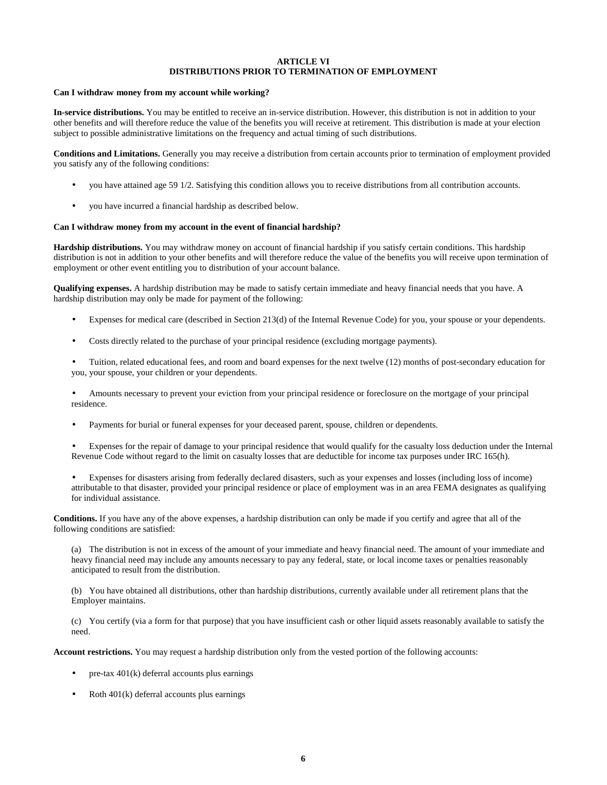## **ARTICLE VI DISTRIBUTIONS PRIOR TO TERMINATION OF EMPLOYMENT**

### **Can I withdraw money from my account while working?**

**In-service distributions.** You may be entitled to receive an in-service distribution. However, this distribution is not in addition to your other benefits and will therefore reduce the value of the benefits you will receive at retirement. This distribution is made at your election subject to possible administrative limitations on the frequency and actual timing of such distributions.

**Conditions and Limitations.** Generally you may receive a distribution from certain accounts prior to termination of employment provided you satisfy any of the following conditions:

- you have attained age 59 1/2. Satisfying this condition allows you to receive distributions from all contribution accounts.
- you have incurred a financial hardship as described below.

#### **Can I withdraw money from my account in the event of financial hardship?**

**Hardship distributions.** You may withdraw money on account of financial hardship if you satisfy certain conditions. This hardship distribution is not in addition to your other benefits and will therefore reduce the value of the benefits you will receive upon termination of employment or other event entitling you to distribution of your account balance.

**Qualifying expenses.** A hardship distribution may be made to satisfy certain immediate and heavy financial needs that you have. A hardship distribution may only be made for payment of the following:

- Expenses for medical care (described in Section 213(d) of the Internal Revenue Code) for you, your spouse or your dependents.
- Costs directly related to the purchase of your principal residence (excluding mortgage payments).

• Tuition, related educational fees, and room and board expenses for the next twelve (12) months of post-secondary education for you, your spouse, your children or your dependents.

• Amounts necessary to prevent your eviction from your principal residence or foreclosure on the mortgage of your principal residence.

Payments for burial or funeral expenses for your deceased parent, spouse, children or dependents.

• Expenses for the repair of damage to your principal residence that would qualify for the casualty loss deduction under the Internal Revenue Code without regard to the limit on casualty losses that are deductible for income tax purposes under IRC 165(h).

• Expenses for disasters arising from federally declared disasters, such as your expenses and losses (including loss of income) attributable to that disaster, provided your principal residence or place of employment was in an area FEMA designates as qualifying for individual assistance.

**Conditions.** If you have any of the above expenses, a hardship distribution can only be made if you certify and agree that all of the following conditions are satisfied:

(a) The distribution is not in excess of the amount of your immediate and heavy financial need. The amount of your immediate and heavy financial need may include any amounts necessary to pay any federal, state, or local income taxes or penalties reasonably anticipated to result from the distribution.

(b) You have obtained all distributions, other than hardship distributions, currently available under all retirement plans that the Employer maintains.

(c) You certify (via a form for that purpose) that you have insufficient cash or other liquid assets reasonably available to satisfy the need.

**Account restrictions.** You may request a hardship distribution only from the vested portion of the following accounts:

- pre-tax  $401(k)$  deferral accounts plus earnings
- $Roth 401(k)$  deferral accounts plus earnings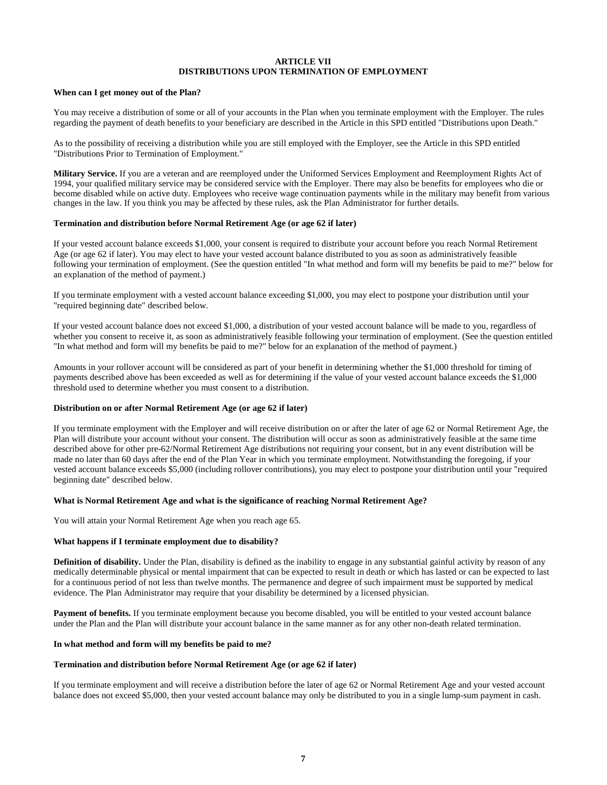## **ARTICLE VII DISTRIBUTIONS UPON TERMINATION OF EMPLOYMENT**

## **When can I get money out of the Plan?**

You may receive a distribution of some or all of your accounts in the Plan when you terminate employment with the Employer. The rules regarding the payment of death benefits to your beneficiary are described in the Article in this SPD entitled "Distributions upon Death."

As to the possibility of receiving a distribution while you are still employed with the Employer, see the Article in this SPD entitled "Distributions Prior to Termination of Employment."

**Military Service.** If you are a veteran and are reemployed under the Uniformed Services Employment and Reemployment Rights Act of 1994, your qualified military service may be considered service with the Employer. There may also be benefits for employees who die or become disabled while on active duty. Employees who receive wage continuation payments while in the military may benefit from various changes in the law. If you think you may be affected by these rules, ask the Plan Administrator for further details.

## **Termination and distribution before Normal Retirement Age (or age 62 if later)**

If your vested account balance exceeds \$1,000, your consent is required to distribute your account before you reach Normal Retirement Age (or age 62 if later). You may elect to have your vested account balance distributed to you as soon as administratively feasible following your termination of employment. (See the question entitled "In what method and form will my benefits be paid to me?" below for an explanation of the method of payment.)

If you terminate employment with a vested account balance exceeding \$1,000, you may elect to postpone your distribution until your "required beginning date" described below.

If your vested account balance does not exceed \$1,000, a distribution of your vested account balance will be made to you, regardless of whether you consent to receive it, as soon as administratively feasible following your termination of employment. (See the question entitled "In what method and form will my benefits be paid to me?" below for an explanation of the method of payment.)

Amounts in your rollover account will be considered as part of your benefit in determining whether the \$1,000 threshold for timing of payments described above has been exceeded as well as for determining if the value of your vested account balance exceeds the \$1,000 threshold used to determine whether you must consent to a distribution.

#### **Distribution on or after Normal Retirement Age (or age 62 if later)**

If you terminate employment with the Employer and will receive distribution on or after the later of age 62 or Normal Retirement Age, the Plan will distribute your account without your consent. The distribution will occur as soon as administratively feasible at the same time described above for other pre-62/Normal Retirement Age distributions not requiring your consent, but in any event distribution will be made no later than 60 days after the end of the Plan Year in which you terminate employment. Notwithstanding the foregoing, if your vested account balance exceeds \$5,000 (including rollover contributions), you may elect to postpone your distribution until your "required beginning date" described below.

## **What is Normal Retirement Age and what is the significance of reaching Normal Retirement Age?**

You will attain your Normal Retirement Age when you reach age 65.

#### **What happens if I terminate employment due to disability?**

**Definition of disability.** Under the Plan, disability is defined as the inability to engage in any substantial gainful activity by reason of any medically determinable physical or mental impairment that can be expected to result in death or which has lasted or can be expected to last for a continuous period of not less than twelve months. The permanence and degree of such impairment must be supported by medical evidence. The Plan Administrator may require that your disability be determined by a licensed physician.

Payment of benefits. If you terminate employment because you become disabled, you will be entitled to your vested account balance under the Plan and the Plan will distribute your account balance in the same manner as for any other non-death related termination.

#### **In what method and form will my benefits be paid to me?**

#### **Termination and distribution before Normal Retirement Age (or age 62 if later)**

If you terminate employment and will receive a distribution before the later of age 62 or Normal Retirement Age and your vested account balance does not exceed \$5,000, then your vested account balance may only be distributed to you in a single lump-sum payment in cash.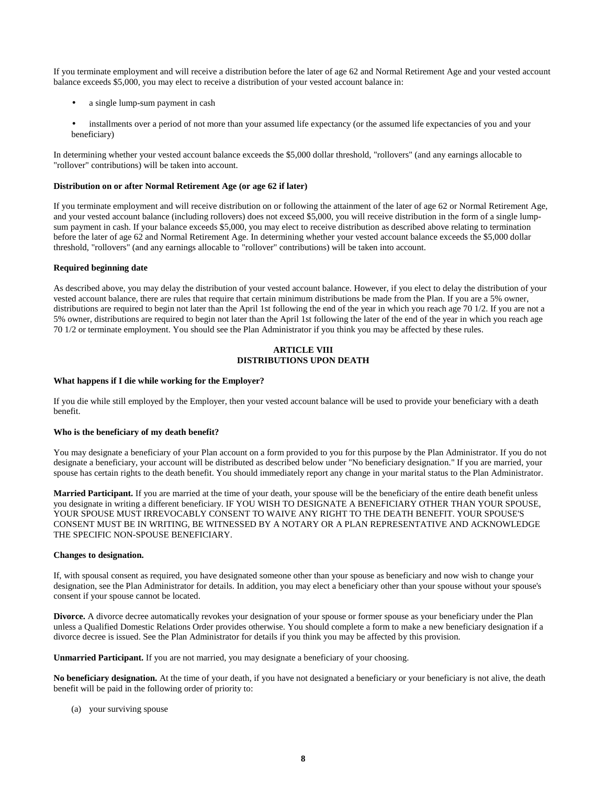If you terminate employment and will receive a distribution before the later of age 62 and Normal Retirement Age and your vested account balance exceeds \$5,000, you may elect to receive a distribution of your vested account balance in:

- a single lump-sum payment in cash
- installments over a period of not more than your assumed life expectancy (or the assumed life expectancies of you and your beneficiary)

In determining whether your vested account balance exceeds the \$5,000 dollar threshold, "rollovers" (and any earnings allocable to "rollover" contributions) will be taken into account.

## **Distribution on or after Normal Retirement Age (or age 62 if later)**

If you terminate employment and will receive distribution on or following the attainment of the later of age 62 or Normal Retirement Age, and your vested account balance (including rollovers) does not exceed \$5,000, you will receive distribution in the form of a single lumpsum payment in cash. If your balance exceeds \$5,000, you may elect to receive distribution as described above relating to termination before the later of age 62 and Normal Retirement Age. In determining whether your vested account balance exceeds the \$5,000 dollar threshold, "rollovers" (and any earnings allocable to "rollover" contributions) will be taken into account.

## **Required beginning date**

As described above, you may delay the distribution of your vested account balance. However, if you elect to delay the distribution of your vested account balance, there are rules that require that certain minimum distributions be made from the Plan. If you are a 5% owner, distributions are required to begin not later than the April 1st following the end of the year in which you reach age 70 1/2. If you are not a 5% owner, distributions are required to begin not later than the April 1st following the later of the end of the year in which you reach age 70 1/2 or terminate employment. You should see the Plan Administrator if you think you may be affected by these rules.

## **ARTICLE VIII DISTRIBUTIONS UPON DEATH**

### **What happens if I die while working for the Employer?**

If you die while still employed by the Employer, then your vested account balance will be used to provide your beneficiary with a death benefit.

## **Who is the beneficiary of my death benefit?**

You may designate a beneficiary of your Plan account on a form provided to you for this purpose by the Plan Administrator. If you do not designate a beneficiary, your account will be distributed as described below under "No beneficiary designation." If you are married, your spouse has certain rights to the death benefit. You should immediately report any change in your marital status to the Plan Administrator.

Married Participant. If you are married at the time of your death, your spouse will be the beneficiary of the entire death benefit unless you designate in writing a different beneficiary. IF YOU WISH TO DESIGNATE A BENEFICIARY OTHER THAN YOUR SPOUSE, YOUR SPOUSE MUST IRREVOCABLY CONSENT TO WAIVE ANY RIGHT TO THE DEATH BENEFIT. YOUR SPOUSE'S CONSENT MUST BE IN WRITING, BE WITNESSED BY A NOTARY OR A PLAN REPRESENTATIVE AND ACKNOWLEDGE THE SPECIFIC NON-SPOUSE BENEFICIARY.

## **Changes to designation.**

If, with spousal consent as required, you have designated someone other than your spouse as beneficiary and now wish to change your designation, see the Plan Administrator for details. In addition, you may elect a beneficiary other than your spouse without your spouse's consent if your spouse cannot be located.

**Divorce.** A divorce decree automatically revokes your designation of your spouse or former spouse as your beneficiary under the Plan unless a Qualified Domestic Relations Order provides otherwise. You should complete a form to make a new beneficiary designation if a divorce decree is issued. See the Plan Administrator for details if you think you may be affected by this provision.

**Unmarried Participant.** If you are not married, you may designate a beneficiary of your choosing.

No beneficiary designation. At the time of your death, if you have not designated a beneficiary or your beneficiary is not alive, the death benefit will be paid in the following order of priority to:

## (a) your surviving spouse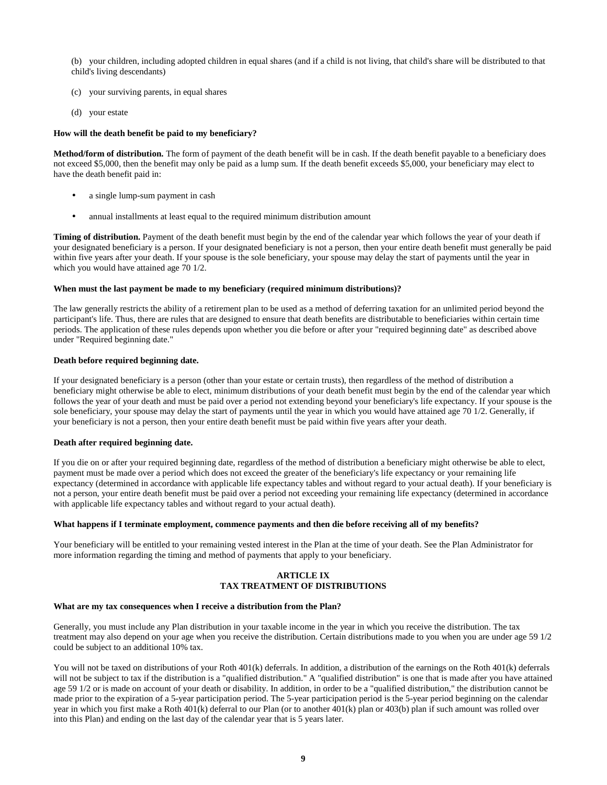(b) your children, including adopted children in equal shares (and if a child is not living, that child's share will be distributed to that child's living descendants)

- (c) your surviving parents, in equal shares
- (d) your estate

#### **How will the death benefit be paid to my beneficiary?**

**Method/form of distribution.** The form of payment of the death benefit will be in cash. If the death benefit payable to a beneficiary does not exceed \$5,000, then the benefit may only be paid as a lump sum. If the death benefit exceeds \$5,000, your beneficiary may elect to have the death benefit paid in:

- a single lump-sum payment in cash
- annual installments at least equal to the required minimum distribution amount

**Timing of distribution.** Payment of the death benefit must begin by the end of the calendar year which follows the year of your death if your designated beneficiary is a person. If your designated beneficiary is not a person, then your entire death benefit must generally be paid within five years after your death. If your spouse is the sole beneficiary, your spouse may delay the start of payments until the year in which you would have attained age 70 1/2.

#### **When must the last payment be made to my beneficiary (required minimum distributions)?**

The law generally restricts the ability of a retirement plan to be used as a method of deferring taxation for an unlimited period beyond the participant's life. Thus, there are rules that are designed to ensure that death benefits are distributable to beneficiaries within certain time periods. The application of these rules depends upon whether you die before or after your "required beginning date" as described above under "Required beginning date."

#### **Death before required beginning date.**

If your designated beneficiary is a person (other than your estate or certain trusts), then regardless of the method of distribution a beneficiary might otherwise be able to elect, minimum distributions of your death benefit must begin by the end of the calendar year which follows the year of your death and must be paid over a period not extending beyond your beneficiary's life expectancy. If your spouse is the sole beneficiary, your spouse may delay the start of payments until the year in which you would have attained age 70 1/2. Generally, if your beneficiary is not a person, then your entire death benefit must be paid within five years after your death.

#### **Death after required beginning date.**

If you die on or after your required beginning date, regardless of the method of distribution a beneficiary might otherwise be able to elect, payment must be made over a period which does not exceed the greater of the beneficiary's life expectancy or your remaining life expectancy (determined in accordance with applicable life expectancy tables and without regard to your actual death). If your beneficiary is not a person, your entire death benefit must be paid over a period not exceeding your remaining life expectancy (determined in accordance with applicable life expectancy tables and without regard to your actual death).

#### **What happens if I terminate employment, commence payments and then die before receiving all of my benefits?**

Your beneficiary will be entitled to your remaining vested interest in the Plan at the time of your death. See the Plan Administrator for more information regarding the timing and method of payments that apply to your beneficiary.

## **ARTICLE IX TAX TREATMENT OF DISTRIBUTIONS**

#### **What are my tax consequences when I receive a distribution from the Plan?**

Generally, you must include any Plan distribution in your taxable income in the year in which you receive the distribution. The tax treatment may also depend on your age when you receive the distribution. Certain distributions made to you when you are under age 59 1/2 could be subject to an additional 10% tax.

You will not be taxed on distributions of your Roth 401(k) deferrals. In addition, a distribution of the earnings on the Roth 401(k) deferrals will not be subject to tax if the distribution is a "qualified distribution." A "qualified distribution" is one that is made after you have attained age 59 1/2 or is made on account of your death or disability. In addition, in order to be a "qualified distribution," the distribution cannot be made prior to the expiration of a 5-year participation period. The 5-year participation period is the 5-year period beginning on the calendar year in which you first make a Roth 401(k) deferral to our Plan (or to another 401(k) plan or 403(b) plan if such amount was rolled over into this Plan) and ending on the last day of the calendar year that is 5 years later.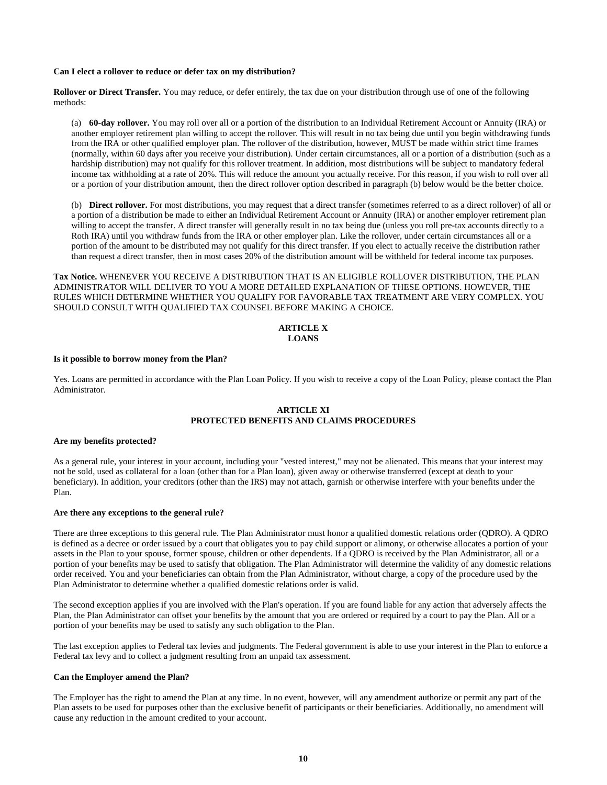#### **Can I elect a rollover to reduce or defer tax on my distribution?**

**Rollover or Direct Transfer.** You may reduce, or defer entirely, the tax due on your distribution through use of one of the following methods:

(a) **60-day rollover.** You may roll over all or a portion of the distribution to an Individual Retirement Account or Annuity (IRA) or another employer retirement plan willing to accept the rollover. This will result in no tax being due until you begin withdrawing funds from the IRA or other qualified employer plan. The rollover of the distribution, however, MUST be made within strict time frames (normally, within 60 days after you receive your distribution). Under certain circumstances, all or a portion of a distribution (such as a hardship distribution) may not qualify for this rollover treatment. In addition, most distributions will be subject to mandatory federal income tax withholding at a rate of 20%. This will reduce the amount you actually receive. For this reason, if you wish to roll over all or a portion of your distribution amount, then the direct rollover option described in paragraph (b) below would be the better choice.

(b) **Direct rollover.** For most distributions, you may request that a direct transfer (sometimes referred to as a direct rollover) of all or a portion of a distribution be made to either an Individual Retirement Account or Annuity (IRA) or another employer retirement plan willing to accept the transfer. A direct transfer will generally result in no tax being due (unless you roll pre-tax accounts directly to a Roth IRA) until you withdraw funds from the IRA or other employer plan. Like the rollover, under certain circumstances all or a portion of the amount to be distributed may not qualify for this direct transfer. If you elect to actually receive the distribution rather than request a direct transfer, then in most cases 20% of the distribution amount will be withheld for federal income tax purposes.

**Tax Notice.** WHENEVER YOU RECEIVE A DISTRIBUTION THAT IS AN ELIGIBLE ROLLOVER DISTRIBUTION, THE PLAN ADMINISTRATOR WILL DELIVER TO YOU A MORE DETAILED EXPLANATION OF THESE OPTIONS. HOWEVER, THE RULES WHICH DETERMINE WHETHER YOU QUALIFY FOR FAVORABLE TAX TREATMENT ARE VERY COMPLEX. YOU SHOULD CONSULT WITH QUALIFIED TAX COUNSEL BEFORE MAKING A CHOICE.

## **ARTICLE X LOANS**

## **Is it possible to borrow money from the Plan?**

Yes. Loans are permitted in accordance with the Plan Loan Policy. If you wish to receive a copy of the Loan Policy, please contact the Plan Administrator.

## **ARTICLE XI PROTECTED BENEFITS AND CLAIMS PROCEDURES**

#### **Are my benefits protected?**

As a general rule, your interest in your account, including your "vested interest," may not be alienated. This means that your interest may not be sold, used as collateral for a loan (other than for a Plan loan), given away or otherwise transferred (except at death to your beneficiary). In addition, your creditors (other than the IRS) may not attach, garnish or otherwise interfere with your benefits under the Plan.

## **Are there any exceptions to the general rule?**

There are three exceptions to this general rule. The Plan Administrator must honor a qualified domestic relations order (QDRO). A QDRO is defined as a decree or order issued by a court that obligates you to pay child support or alimony, or otherwise allocates a portion of your assets in the Plan to your spouse, former spouse, children or other dependents. If a QDRO is received by the Plan Administrator, all or a portion of your benefits may be used to satisfy that obligation. The Plan Administrator will determine the validity of any domestic relations order received. You and your beneficiaries can obtain from the Plan Administrator, without charge, a copy of the procedure used by the Plan Administrator to determine whether a qualified domestic relations order is valid.

The second exception applies if you are involved with the Plan's operation. If you are found liable for any action that adversely affects the Plan, the Plan Administrator can offset your benefits by the amount that you are ordered or required by a court to pay the Plan. All or a portion of your benefits may be used to satisfy any such obligation to the Plan.

The last exception applies to Federal tax levies and judgments. The Federal government is able to use your interest in the Plan to enforce a Federal tax levy and to collect a judgment resulting from an unpaid tax assessment.

## **Can the Employer amend the Plan?**

The Employer has the right to amend the Plan at any time. In no event, however, will any amendment authorize or permit any part of the Plan assets to be used for purposes other than the exclusive benefit of participants or their beneficiaries. Additionally, no amendment will cause any reduction in the amount credited to your account.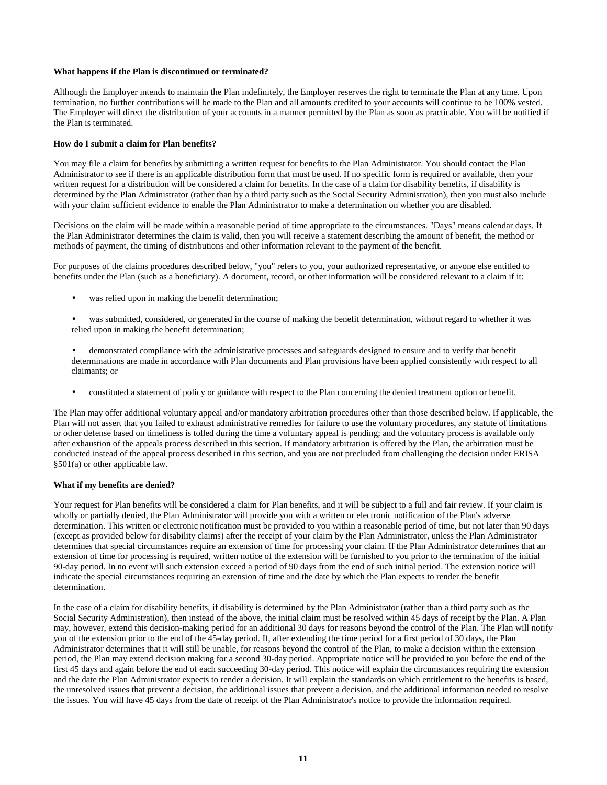## **What happens if the Plan is discontinued or terminated?**

Although the Employer intends to maintain the Plan indefinitely, the Employer reserves the right to terminate the Plan at any time. Upon termination, no further contributions will be made to the Plan and all amounts credited to your accounts will continue to be 100% vested. The Employer will direct the distribution of your accounts in a manner permitted by the Plan as soon as practicable. You will be notified if the Plan is terminated.

## **How do I submit a claim for Plan benefits?**

You may file a claim for benefits by submitting a written request for benefits to the Plan Administrator. You should contact the Plan Administrator to see if there is an applicable distribution form that must be used. If no specific form is required or available, then your written request for a distribution will be considered a claim for benefits. In the case of a claim for disability benefits, if disability is determined by the Plan Administrator (rather than by a third party such as the Social Security Administration), then you must also include with your claim sufficient evidence to enable the Plan Administrator to make a determination on whether you are disabled.

Decisions on the claim will be made within a reasonable period of time appropriate to the circumstances. "Days" means calendar days. If the Plan Administrator determines the claim is valid, then you will receive a statement describing the amount of benefit, the method or methods of payment, the timing of distributions and other information relevant to the payment of the benefit.

For purposes of the claims procedures described below, "you" refers to you, your authorized representative, or anyone else entitled to benefits under the Plan (such as a beneficiary). A document, record, or other information will be considered relevant to a claim if it:

- was relied upon in making the benefit determination;
- was submitted, considered, or generated in the course of making the benefit determination, without regard to whether it was relied upon in making the benefit determination;
- demonstrated compliance with the administrative processes and safeguards designed to ensure and to verify that benefit determinations are made in accordance with Plan documents and Plan provisions have been applied consistently with respect to all claimants; or
- constituted a statement of policy or guidance with respect to the Plan concerning the denied treatment option or benefit.

The Plan may offer additional voluntary appeal and/or mandatory arbitration procedures other than those described below. If applicable, the Plan will not assert that you failed to exhaust administrative remedies for failure to use the voluntary procedures, any statute of limitations or other defense based on timeliness is tolled during the time a voluntary appeal is pending; and the voluntary process is available only after exhaustion of the appeals process described in this section. If mandatory arbitration is offered by the Plan, the arbitration must be conducted instead of the appeal process described in this section, and you are not precluded from challenging the decision under ERISA §501(a) or other applicable law.

#### **What if my benefits are denied?**

Your request for Plan benefits will be considered a claim for Plan benefits, and it will be subject to a full and fair review. If your claim is wholly or partially denied, the Plan Administrator will provide you with a written or electronic notification of the Plan's adverse determination. This written or electronic notification must be provided to you within a reasonable period of time, but not later than 90 days (except as provided below for disability claims) after the receipt of your claim by the Plan Administrator, unless the Plan Administrator determines that special circumstances require an extension of time for processing your claim. If the Plan Administrator determines that an extension of time for processing is required, written notice of the extension will be furnished to you prior to the termination of the initial 90-day period. In no event will such extension exceed a period of 90 days from the end of such initial period. The extension notice will indicate the special circumstances requiring an extension of time and the date by which the Plan expects to render the benefit determination.

In the case of a claim for disability benefits, if disability is determined by the Plan Administrator (rather than a third party such as the Social Security Administration), then instead of the above, the initial claim must be resolved within 45 days of receipt by the Plan. A Plan may, however, extend this decision-making period for an additional 30 days for reasons beyond the control of the Plan. The Plan will notify you of the extension prior to the end of the 45-day period. If, after extending the time period for a first period of 30 days, the Plan Administrator determines that it will still be unable, for reasons beyond the control of the Plan, to make a decision within the extension period, the Plan may extend decision making for a second 30-day period. Appropriate notice will be provided to you before the end of the first 45 days and again before the end of each succeeding 30-day period. This notice will explain the circumstances requiring the extension and the date the Plan Administrator expects to render a decision. It will explain the standards on which entitlement to the benefits is based, the unresolved issues that prevent a decision, the additional issues that prevent a decision, and the additional information needed to resolve the issues. You will have 45 days from the date of receipt of the Plan Administrator's notice to provide the information required.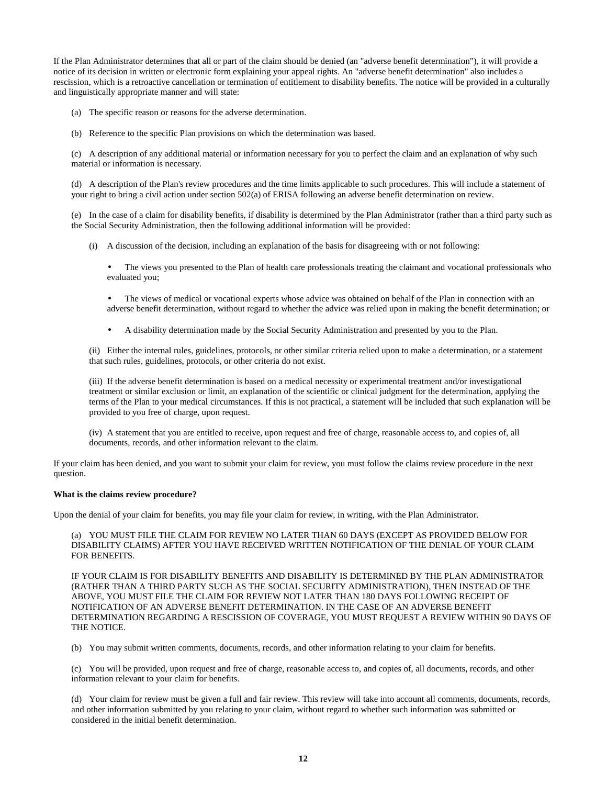If the Plan Administrator determines that all or part of the claim should be denied (an "adverse benefit determination"), it will provide a notice of its decision in written or electronic form explaining your appeal rights. An "adverse benefit determination" also includes a rescission, which is a retroactive cancellation or termination of entitlement to disability benefits. The notice will be provided in a culturally and linguistically appropriate manner and will state:

(a) The specific reason or reasons for the adverse determination.

(b) Reference to the specific Plan provisions on which the determination was based.

(c) A description of any additional material or information necessary for you to perfect the claim and an explanation of why such material or information is necessary.

(d) A description of the Plan's review procedures and the time limits applicable to such procedures. This will include a statement of your right to bring a civil action under section 502(a) of ERISA following an adverse benefit determination on review.

(e) In the case of a claim for disability benefits, if disability is determined by the Plan Administrator (rather than a third party such as the Social Security Administration, then the following additional information will be provided:

(i) A discussion of the decision, including an explanation of the basis for disagreeing with or not following:

• The views you presented to the Plan of health care professionals treating the claimant and vocational professionals who evaluated you;

• The views of medical or vocational experts whose advice was obtained on behalf of the Plan in connection with an adverse benefit determination, without regard to whether the advice was relied upon in making the benefit determination; or

• A disability determination made by the Social Security Administration and presented by you to the Plan.

(ii) Either the internal rules, guidelines, protocols, or other similar criteria relied upon to make a determination, or a statement that such rules, guidelines, protocols, or other criteria do not exist.

(iii) If the adverse benefit determination is based on a medical necessity or experimental treatment and/or investigational treatment or similar exclusion or limit, an explanation of the scientific or clinical judgment for the determination, applying the terms of the Plan to your medical circumstances. If this is not practical, a statement will be included that such explanation will be provided to you free of charge, upon request.

(iv) A statement that you are entitled to receive, upon request and free of charge, reasonable access to, and copies of, all documents, records, and other information relevant to the claim.

If your claim has been denied, and you want to submit your claim for review, you must follow the claims review procedure in the next question.

## **What is the claims review procedure?**

Upon the denial of your claim for benefits, you may file your claim for review, in writing, with the Plan Administrator.

(a) YOU MUST FILE THE CLAIM FOR REVIEW NO LATER THAN 60 DAYS (EXCEPT AS PROVIDED BELOW FOR DISABILITY CLAIMS) AFTER YOU HAVE RECEIVED WRITTEN NOTIFICATION OF THE DENIAL OF YOUR CLAIM FOR BENEFITS.

IF YOUR CLAIM IS FOR DISABILITY BENEFITS AND DISABILITY IS DETERMINED BY THE PLAN ADMINISTRATOR (RATHER THAN A THIRD PARTY SUCH AS THE SOCIAL SECURITY ADMINISTRATION), THEN INSTEAD OF THE ABOVE, YOU MUST FILE THE CLAIM FOR REVIEW NOT LATER THAN 180 DAYS FOLLOWING RECEIPT OF NOTIFICATION OF AN ADVERSE BENEFIT DETERMINATION. IN THE CASE OF AN ADVERSE BENEFIT DETERMINATION REGARDING A RESCISSION OF COVERAGE, YOU MUST REQUEST A REVIEW WITHIN 90 DAYS OF THE NOTICE.

(b) You may submit written comments, documents, records, and other information relating to your claim for benefits.

(c) You will be provided, upon request and free of charge, reasonable access to, and copies of, all documents, records, and other information relevant to your claim for benefits.

(d) Your claim for review must be given a full and fair review. This review will take into account all comments, documents, records, and other information submitted by you relating to your claim, without regard to whether such information was submitted or considered in the initial benefit determination.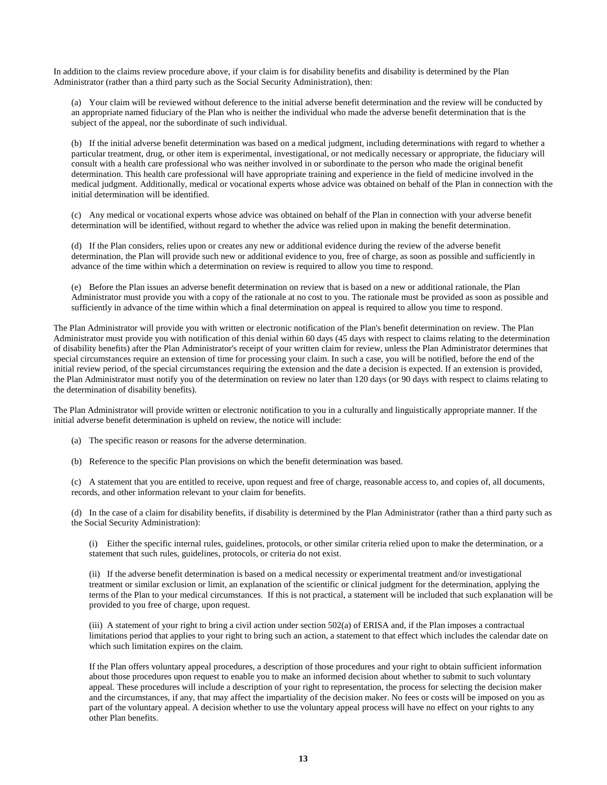In addition to the claims review procedure above, if your claim is for disability benefits and disability is determined by the Plan Administrator (rather than a third party such as the Social Security Administration), then:

(a) Your claim will be reviewed without deference to the initial adverse benefit determination and the review will be conducted by an appropriate named fiduciary of the Plan who is neither the individual who made the adverse benefit determination that is the subject of the appeal, nor the subordinate of such individual.

(b) If the initial adverse benefit determination was based on a medical judgment, including determinations with regard to whether a particular treatment, drug, or other item is experimental, investigational, or not medically necessary or appropriate, the fiduciary will consult with a health care professional who was neither involved in or subordinate to the person who made the original benefit determination. This health care professional will have appropriate training and experience in the field of medicine involved in the medical judgment. Additionally, medical or vocational experts whose advice was obtained on behalf of the Plan in connection with the initial determination will be identified.

(c) Any medical or vocational experts whose advice was obtained on behalf of the Plan in connection with your adverse benefit determination will be identified, without regard to whether the advice was relied upon in making the benefit determination.

(d) If the Plan considers, relies upon or creates any new or additional evidence during the review of the adverse benefit determination, the Plan will provide such new or additional evidence to you, free of charge, as soon as possible and sufficiently in advance of the time within which a determination on review is required to allow you time to respond.

(e) Before the Plan issues an adverse benefit determination on review that is based on a new or additional rationale, the Plan Administrator must provide you with a copy of the rationale at no cost to you. The rationale must be provided as soon as possible and sufficiently in advance of the time within which a final determination on appeal is required to allow you time to respond.

The Plan Administrator will provide you with written or electronic notification of the Plan's benefit determination on review. The Plan Administrator must provide you with notification of this denial within 60 days (45 days with respect to claims relating to the determination of disability benefits) after the Plan Administrator's receipt of your written claim for review, unless the Plan Administrator determines that special circumstances require an extension of time for processing your claim. In such a case, you will be notified, before the end of the initial review period, of the special circumstances requiring the extension and the date a decision is expected. If an extension is provided, the Plan Administrator must notify you of the determination on review no later than 120 days (or 90 days with respect to claims relating to the determination of disability benefits).

The Plan Administrator will provide written or electronic notification to you in a culturally and linguistically appropriate manner. If the initial adverse benefit determination is upheld on review, the notice will include:

(a) The specific reason or reasons for the adverse determination.

(b) Reference to the specific Plan provisions on which the benefit determination was based.

(c) A statement that you are entitled to receive, upon request and free of charge, reasonable access to, and copies of, all documents, records, and other information relevant to your claim for benefits.

(d) In the case of a claim for disability benefits, if disability is determined by the Plan Administrator (rather than a third party such as the Social Security Administration):

(i) Either the specific internal rules, guidelines, protocols, or other similar criteria relied upon to make the determination, or a statement that such rules, guidelines, protocols, or criteria do not exist.

(ii) If the adverse benefit determination is based on a medical necessity or experimental treatment and/or investigational treatment or similar exclusion or limit, an explanation of the scientific or clinical judgment for the determination, applying the terms of the Plan to your medical circumstances. If this is not practical, a statement will be included that such explanation will be provided to you free of charge, upon request.

(iii) A statement of your right to bring a civil action under section 502(a) of ERISA and, if the Plan imposes a contractual limitations period that applies to your right to bring such an action, a statement to that effect which includes the calendar date on which such limitation expires on the claim.

If the Plan offers voluntary appeal procedures, a description of those procedures and your right to obtain sufficient information about those procedures upon request to enable you to make an informed decision about whether to submit to such voluntary appeal. These procedures will include a description of your right to representation, the process for selecting the decision maker and the circumstances, if any, that may affect the impartiality of the decision maker. No fees or costs will be imposed on you as part of the voluntary appeal. A decision whether to use the voluntary appeal process will have no effect on your rights to any other Plan benefits.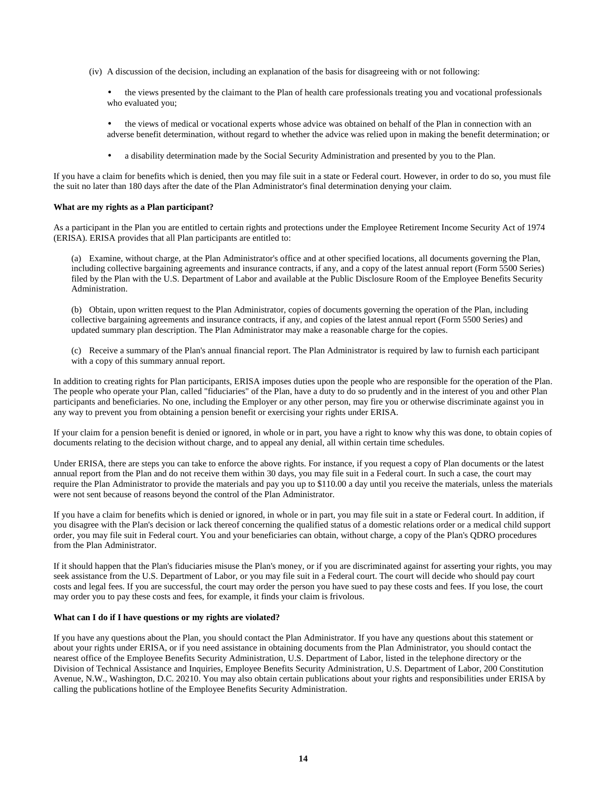- (iv) A discussion of the decision, including an explanation of the basis for disagreeing with or not following:
	- the views presented by the claimant to the Plan of health care professionals treating you and vocational professionals who evaluated you;
	- the views of medical or vocational experts whose advice was obtained on behalf of the Plan in connection with an adverse benefit determination, without regard to whether the advice was relied upon in making the benefit determination; or
	- a disability determination made by the Social Security Administration and presented by you to the Plan.

If you have a claim for benefits which is denied, then you may file suit in a state or Federal court. However, in order to do so, you must file the suit no later than 180 days after the date of the Plan Administrator's final determination denying your claim.

## **What are my rights as a Plan participant?**

As a participant in the Plan you are entitled to certain rights and protections under the Employee Retirement Income Security Act of 1974 (ERISA). ERISA provides that all Plan participants are entitled to:

(a) Examine, without charge, at the Plan Administrator's office and at other specified locations, all documents governing the Plan, including collective bargaining agreements and insurance contracts, if any, and a copy of the latest annual report (Form 5500 Series) filed by the Plan with the U.S. Department of Labor and available at the Public Disclosure Room of the Employee Benefits Security Administration.

(b) Obtain, upon written request to the Plan Administrator, copies of documents governing the operation of the Plan, including collective bargaining agreements and insurance contracts, if any, and copies of the latest annual report (Form 5500 Series) and updated summary plan description. The Plan Administrator may make a reasonable charge for the copies.

(c) Receive a summary of the Plan's annual financial report. The Plan Administrator is required by law to furnish each participant with a copy of this summary annual report.

In addition to creating rights for Plan participants, ERISA imposes duties upon the people who are responsible for the operation of the Plan. The people who operate your Plan, called "fiduciaries" of the Plan, have a duty to do so prudently and in the interest of you and other Plan participants and beneficiaries. No one, including the Employer or any other person, may fire you or otherwise discriminate against you in any way to prevent you from obtaining a pension benefit or exercising your rights under ERISA.

If your claim for a pension benefit is denied or ignored, in whole or in part, you have a right to know why this was done, to obtain copies of documents relating to the decision without charge, and to appeal any denial, all within certain time schedules.

Under ERISA, there are steps you can take to enforce the above rights. For instance, if you request a copy of Plan documents or the latest annual report from the Plan and do not receive them within 30 days, you may file suit in a Federal court. In such a case, the court may require the Plan Administrator to provide the materials and pay you up to \$110.00 a day until you receive the materials, unless the materials were not sent because of reasons beyond the control of the Plan Administrator.

If you have a claim for benefits which is denied or ignored, in whole or in part, you may file suit in a state or Federal court. In addition, if you disagree with the Plan's decision or lack thereof concerning the qualified status of a domestic relations order or a medical child support order, you may file suit in Federal court. You and your beneficiaries can obtain, without charge, a copy of the Plan's QDRO procedures from the Plan Administrator.

If it should happen that the Plan's fiduciaries misuse the Plan's money, or if you are discriminated against for asserting your rights, you may seek assistance from the U.S. Department of Labor, or you may file suit in a Federal court. The court will decide who should pay court costs and legal fees. If you are successful, the court may order the person you have sued to pay these costs and fees. If you lose, the court may order you to pay these costs and fees, for example, it finds your claim is frivolous.

## **What can I do if I have questions or my rights are violated?**

If you have any questions about the Plan, you should contact the Plan Administrator. If you have any questions about this statement or about your rights under ERISA, or if you need assistance in obtaining documents from the Plan Administrator, you should contact the nearest office of the Employee Benefits Security Administration, U.S. Department of Labor, listed in the telephone directory or the Division of Technical Assistance and Inquiries, Employee Benefits Security Administration, U.S. Department of Labor, 200 Constitution Avenue, N.W., Washington, D.C. 20210. You may also obtain certain publications about your rights and responsibilities under ERISA by calling the publications hotline of the Employee Benefits Security Administration.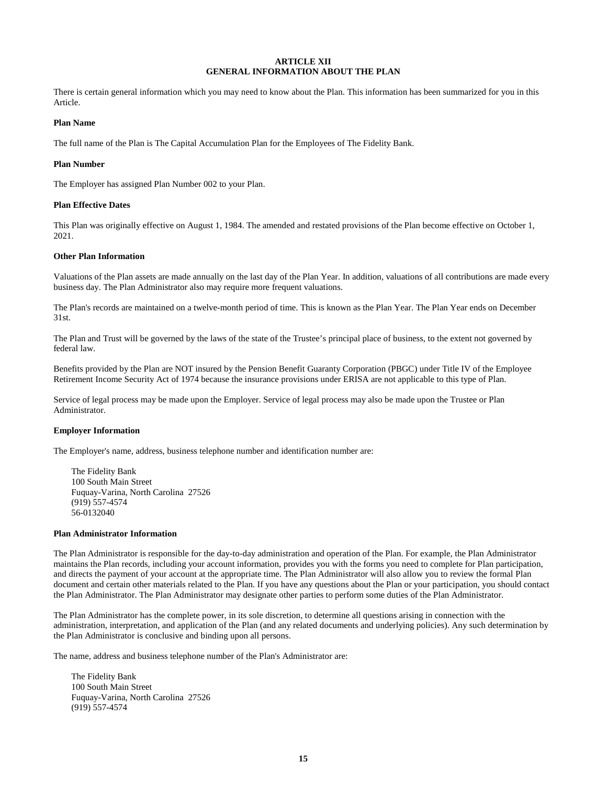## **ARTICLE XII GENERAL INFORMATION ABOUT THE PLAN**

There is certain general information which you may need to know about the Plan. This information has been summarized for you in this Article.

## **Plan Name**

The full name of the Plan is The Capital Accumulation Plan for the Employees of The Fidelity Bank.

#### **Plan Number**

The Employer has assigned Plan Number 002 to your Plan.

## **Plan Effective Dates**

This Plan was originally effective on August 1, 1984. The amended and restated provisions of the Plan become effective on October 1, 2021.

## **Other Plan Information**

Valuations of the Plan assets are made annually on the last day of the Plan Year. In addition, valuations of all contributions are made every business day. The Plan Administrator also may require more frequent valuations.

The Plan's records are maintained on a twelve-month period of time. This is known as the Plan Year. The Plan Year ends on December 31st.

The Plan and Trust will be governed by the laws of the state of the Trustee's principal place of business, to the extent not governed by federal law.

Benefits provided by the Plan are NOT insured by the Pension Benefit Guaranty Corporation (PBGC) under Title IV of the Employee Retirement Income Security Act of 1974 because the insurance provisions under ERISA are not applicable to this type of Plan.

Service of legal process may be made upon the Employer. Service of legal process may also be made upon the Trustee or Plan Administrator.

## **Employer Information**

The Employer's name, address, business telephone number and identification number are:

The Fidelity Bank 100 South Main Street Fuquay-Varina, North Carolina 27526 (919) 557-4574 56-0132040

#### **Plan Administrator Information**

The Plan Administrator is responsible for the day-to-day administration and operation of the Plan. For example, the Plan Administrator maintains the Plan records, including your account information, provides you with the forms you need to complete for Plan participation, and directs the payment of your account at the appropriate time. The Plan Administrator will also allow you to review the formal Plan document and certain other materials related to the Plan. If you have any questions about the Plan or your participation, you should contact the Plan Administrator. The Plan Administrator may designate other parties to perform some duties of the Plan Administrator.

The Plan Administrator has the complete power, in its sole discretion, to determine all questions arising in connection with the administration, interpretation, and application of the Plan (and any related documents and underlying policies). Any such determination by the Plan Administrator is conclusive and binding upon all persons.

The name, address and business telephone number of the Plan's Administrator are:

The Fidelity Bank 100 South Main Street Fuquay-Varina, North Carolina 27526 (919) 557-4574